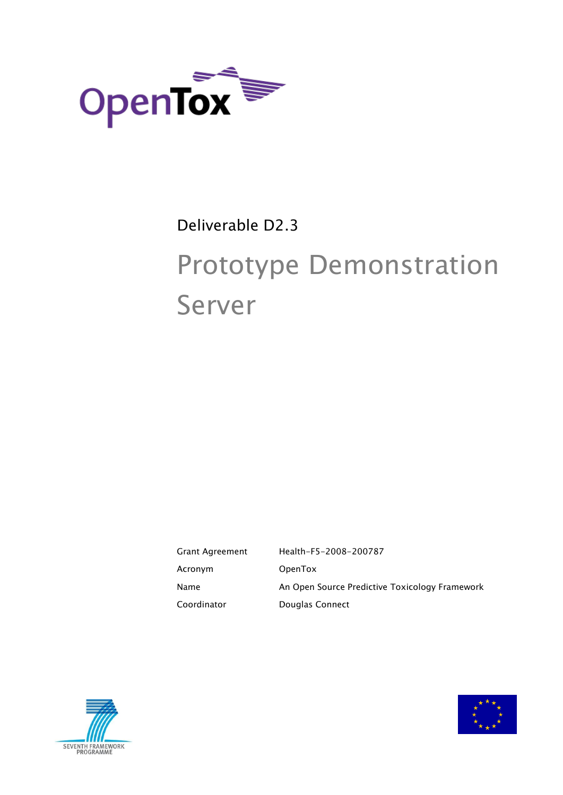

# Deliverable D2.3

# Prototype Demonstration Server

Grant Agreement Health-F5-2008-200787 Acronym OpenTox Name **An Open Source Predictive Toxicology Framework** Coordinator **Douglas Connect** 



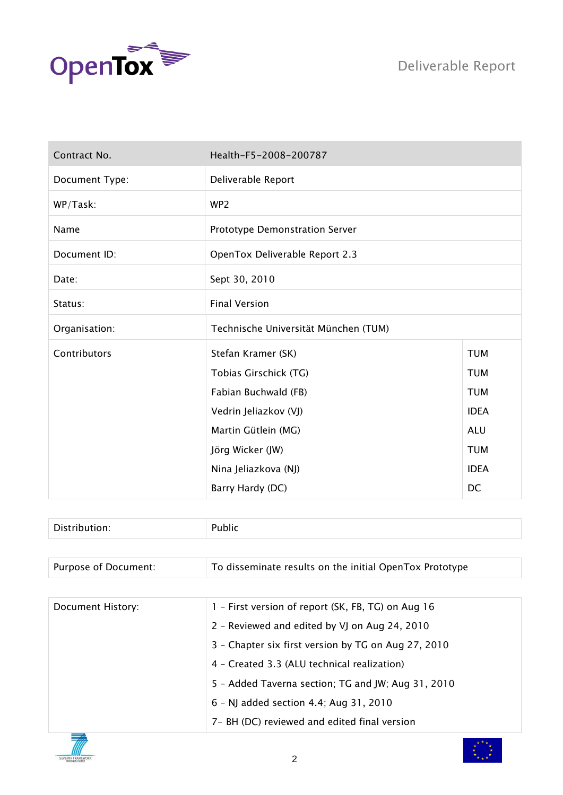



| Contract No.   | Health-F5-2008-200787                |             |
|----------------|--------------------------------------|-------------|
| Document Type: | Deliverable Report                   |             |
| WP/Task:       | WP <sub>2</sub>                      |             |
| Name           | Prototype Demonstration Server       |             |
| Document ID:   | OpenTox Deliverable Report 2.3       |             |
| Date:          | Sept 30, 2010                        |             |
| Status:        | <b>Final Version</b>                 |             |
| Organisation:  | Technische Universität München (TUM) |             |
| Contributors   | Stefan Kramer (SK)                   | <b>TUM</b>  |
|                | Tobias Girschick (TG)                | <b>TUM</b>  |
|                | Fabian Buchwald (FB)                 | <b>TUM</b>  |
|                | Vedrin Jeliazkov (VJ)                | <b>IDEA</b> |
|                | Martin Gütlein (MG)                  | <b>ALU</b>  |
|                | Jörg Wicker (JW)                     | <b>TUM</b>  |
|                | Nina Jeliazkova (NJ)                 | <b>IDEA</b> |
|                | Barry Hardy (DC)                     | DC          |

| -<br>___<br>___ |  |
|-----------------|--|
|-----------------|--|

| Purpose of Document: | To disseminate results on the initial OpenTox Prototype |
|----------------------|---------------------------------------------------------|
|                      |                                                         |

| Document History: | 1 - First version of report (SK, FB, TG) on Aug 16  |
|-------------------|-----------------------------------------------------|
|                   | 2 - Reviewed and edited by VJ on Aug 24, 2010       |
|                   | 3 - Chapter six first version by TG on Aug 27, 2010 |
|                   | 4 - Created 3.3 (ALU technical realization)         |
|                   | 5 - Added Taverna section; TG and JW; Aug 31, 2010  |
|                   | 6 - NJ added section 4.4; Aug 31, 2010              |
|                   | 7 - BH (DC) reviewed and edited final version       |



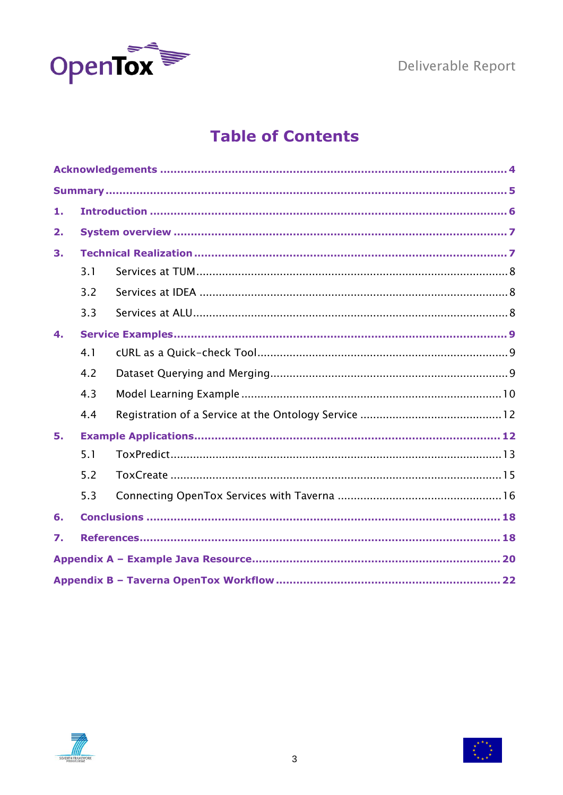

## **Table of Contents**

| 1.             |     |  |  |
|----------------|-----|--|--|
| 2.             |     |  |  |
| 3.             |     |  |  |
|                | 3.1 |  |  |
|                | 3.2 |  |  |
|                | 3.3 |  |  |
| $\mathbf{4}$ . |     |  |  |
|                | 4.1 |  |  |
|                | 4.2 |  |  |
|                | 4.3 |  |  |
|                | 4.4 |  |  |
| 5.             |     |  |  |
|                | 5.1 |  |  |
|                | 5.2 |  |  |
|                | 5.3 |  |  |
| 6.             |     |  |  |
| 7.             |     |  |  |
|                |     |  |  |
|                |     |  |  |



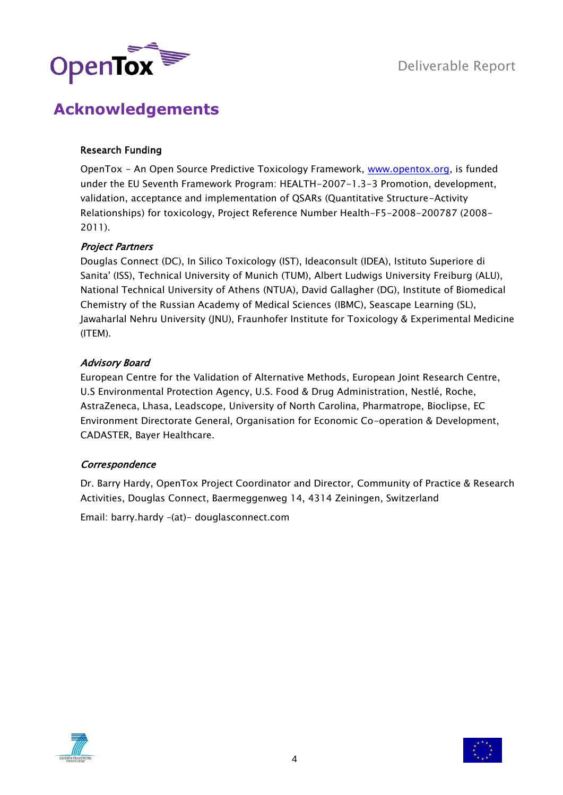

## <span id="page-3-0"></span>**Acknowledgements**

#### Research Funding

OpenTox - An Open Source Predictive Toxicology Framework, [www.opentox.org,](http://www.opentox.org/) is funded under the EU Seventh Framework Program: HEALTH-2007-1.3-3 Promotion, development, validation, acceptance and implementation of QSARs (Quantitative Structure-Activity Relationships) for toxicology, Project Reference Number Health-F5-2008-200787 (2008- 2011).

#### Project Partners

Douglas Connect (DC), In Silico Toxicology (IST), Ideaconsult (IDEA), Istituto Superiore di Sanita' (ISS), Technical University of Munich (TUM), Albert Ludwigs University Freiburg (ALU), National Technical University of Athens (NTUA), David Gallagher (DG), Institute of Biomedical Chemistry of the Russian Academy of Medical Sciences (IBMC), Seascape Learning (SL), Jawaharlal Nehru University (JNU), Fraunhofer Institute for Toxicology & Experimental Medicine (ITEM).

#### Advisory Board

European Centre for the Validation of Alternative Methods, European Joint Research Centre, U.S Environmental Protection Agency, U.S. Food & Drug Administration, Nestlé, Roche, AstraZeneca, Lhasa, Leadscope, University of North Carolina, Pharmatrope, Bioclipse, EC Environment Directorate General, Organisation for Economic Co-operation & Development, CADASTER, Bayer Healthcare.

#### **Correspondence**

Dr. Barry Hardy, OpenTox Project Coordinator and Director, Community of Practice & Research Activities, Douglas Connect, Baermeggenweg 14, 4314 Zeiningen, Switzerland

Email: barry.hardy –(at)- douglasconnect.com



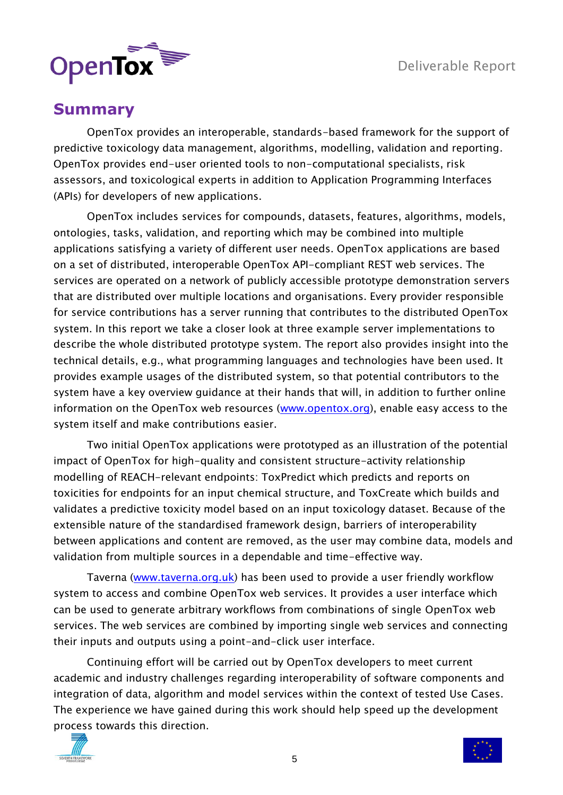

#### <span id="page-4-0"></span>**Summary**

OpenTox provides an interoperable, standards-based framework for the support of predictive toxicology data management, algorithms, modelling, validation and reporting. OpenTox provides end-user oriented tools to non-computational specialists, risk assessors, and toxicological experts in addition to Application Programming Interfaces (APIs) for developers of new applications.

OpenTox includes services for compounds, datasets, features, algorithms, models, ontologies, tasks, validation, and reporting which may be combined into multiple applications satisfying a variety of different user needs. OpenTox applications are based on a set of distributed, interoperable OpenTox API-compliant REST web services. The services are operated on a network of publicly accessible prototype demonstration servers that are distributed over multiple locations and organisations. Every provider responsible for service contributions has a server running that contributes to the distributed OpenTox system. In this report we take a closer look at three example server implementations to describe the whole distributed prototype system. The report also provides insight into the technical details, e.g., what programming languages and technologies have been used. It provides example usages of the distributed system, so that potential contributors to the system have a key overview guidance at their hands that will, in addition to further online information on the OpenTox web resources [\(www.opentox.org\)](http://www.opentox.org/), enable easy access to the system itself and make contributions easier.

Two initial OpenTox applications were prototyped as an illustration of the potential impact of OpenTox for high-quality and consistent structure-activity relationship modelling of REACH-relevant endpoints: ToxPredict which predicts and reports on toxicities for endpoints for an input chemical structure, and ToxCreate which builds and validates a predictive toxicity model based on an input toxicology dataset. Because of the extensible nature of the standardised framework design, barriers of interoperability between applications and content are removed, as the user may combine data, models and validation from multiple sources in a dependable and time-effective way.

Taverna [\(www.taverna.org.uk\)](http://www.taverna.org.uk/) has been used to provide a user friendly workflow system to access and combine OpenTox web services. It provides a user interface which can be used to generate arbitrary workflows from combinations of single OpenTox web services. The web services are combined by importing single web services and connecting their inputs and outputs using a point-and-click user interface.

Continuing effort will be carried out by OpenTox developers to meet current academic and industry challenges regarding interoperability of software components and integration of data, algorithm and model services within the context of tested Use Cases. The experience we have gained during this work should help speed up the development process towards this direction.



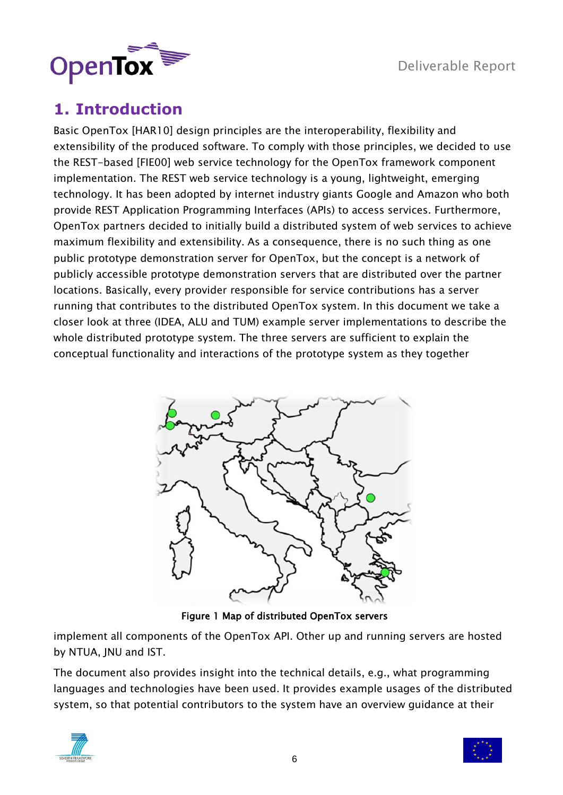

## <span id="page-5-0"></span>**1. Introduction**

Basic OpenTox [HAR10] design principles are the interoperability, flexibility and extensibility of the produced software. To comply with those principles, we decided to use the REST-based [FIE00] web service technology for the OpenTox framework component implementation. The REST web service technology is a young, lightweight, emerging technology. It has been adopted by internet industry giants Google and Amazon who both provide REST Application Programming Interfaces (APIs) to access services. Furthermore, OpenTox partners decided to initially build a distributed system of web services to achieve maximum flexibility and extensibility. As a consequence, there is no such thing as one public prototype demonstration server for OpenTox, but the concept is a network of publicly accessible prototype demonstration servers that are distributed over the partner locations. Basically, every provider responsible for service contributions has a server running that contributes to the distributed OpenTox system. In this document we take a closer look at three (IDEA, ALU and TUM) example server implementations to describe the whole distributed prototype system. The three servers are sufficient to explain the conceptual functionality and interactions of the prototype system as they together



Figure 1 Map of distributed OpenTox servers

implement all components of the OpenTox API. Other up and running servers are hosted by NTUA, JNU and IST.

The document also provides insight into the technical details, e.g., what programming languages and technologies have been used. It provides example usages of the distributed system, so that potential contributors to the system have an overview guidance at their



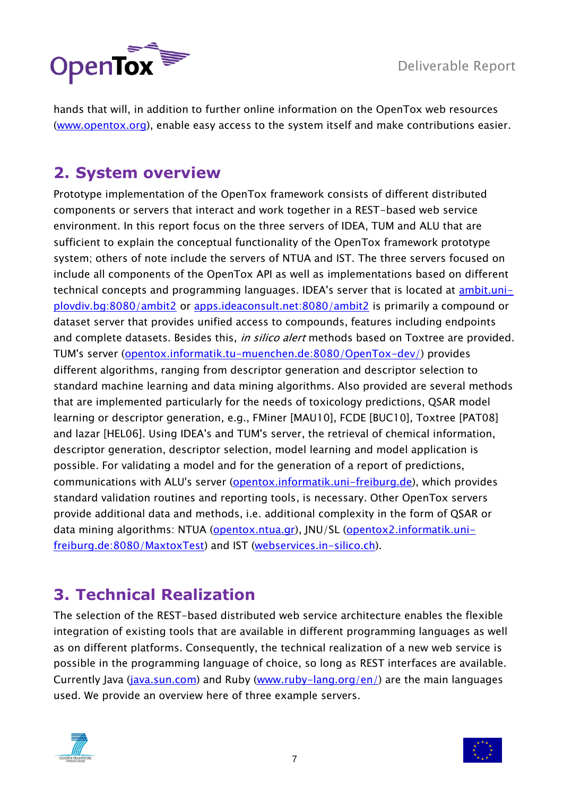



hands that will, in addition to further online information on the OpenTox web resources [\(www.opentox.org\)](http://www.opentox.org/), enable easy access to the system itself and make contributions easier.

## <span id="page-6-0"></span>**2. System overview**

Prototype implementation of the OpenTox framework consists of different distributed components or servers that interact and work together in a REST-based web service environment. In this report focus on the three servers of IDEA, TUM and ALU that are sufficient to explain the conceptual functionality of the OpenTox framework prototype system; others of note include the servers of NTUA and IST. The three servers focused on include all components of the OpenTox API as well as implementations based on different technical concepts and programming languages. IDEA's server that is located at [ambit.uni](http://ambit.uni-plovdiv.bg:8080/ambit2)[plovdiv.bg:8080/ambit2](http://ambit.uni-plovdiv.bg:8080/ambit2) or [apps.ideaconsult.net:8080/ambit2](http://apps.ideaconsult.net:8080/ambit2) is primarily a compound or dataset server that provides unified access to compounds, features including endpoints and complete datasets. Besides this, *in silico alert* methods based on Toxtree are provided. TUM's server [\(opentox.informatik.tu-muenchen.de:8080/OpenTox-dev/\)](http://opentox.informatik.tu-muenchen.de:8080/OpenTox-dev/) provides different algorithms, ranging from descriptor generation and descriptor selection to standard machine learning and data mining algorithms. Also provided are several methods that are implemented particularly for the needs of toxicology predictions, QSAR model learning or descriptor generation, e.g., FMiner [MAU10], FCDE [BUC10], Toxtree [PAT08] and lazar [HEL06]. Using IDEA's and TUM's server, the retrieval of chemical information, descriptor generation, descriptor selection, model learning and model application is possible. For validating a model and for the generation of a report of predictions, communications with ALU's server [\(opentox.informatik.uni-freiburg.de\)](http://opentox.informatik.uni-freiburg.de/), which provides standard validation routines and reporting tools, is necessary. Other OpenTox servers provide additional data and methods, i.e. additional complexity in the form of QSAR or data mining algorithms: NTUA (opentox.ntua.qr), JNU/SL [\(opentox2.informatik.uni](http://opentox2.informatik.uni-freiburg.de:8080/MaxtoxTest)[freiburg.de:8080/MaxtoxTest\)](http://opentox2.informatik.uni-freiburg.de:8080/MaxtoxTest) and IST [\(webservices.in-silico.ch\)](http://webservices.in-silico.ch/).

## <span id="page-6-1"></span>**3. Technical Realization**

The selection of the REST-based distributed web service architecture enables the flexible integration of existing tools that are available in different programming languages as well as on different platforms. Consequently, the technical realization of a new web service is possible in the programming language of choice, so long as REST interfaces are available. Currently Java [\(java.sun.com\)](http://java.sun.com/) and Ruby [\(www.ruby-lang.org/en/\)](http://www.ruby-lang.org/en/) are the main languages used. We provide an overview here of three example servers.



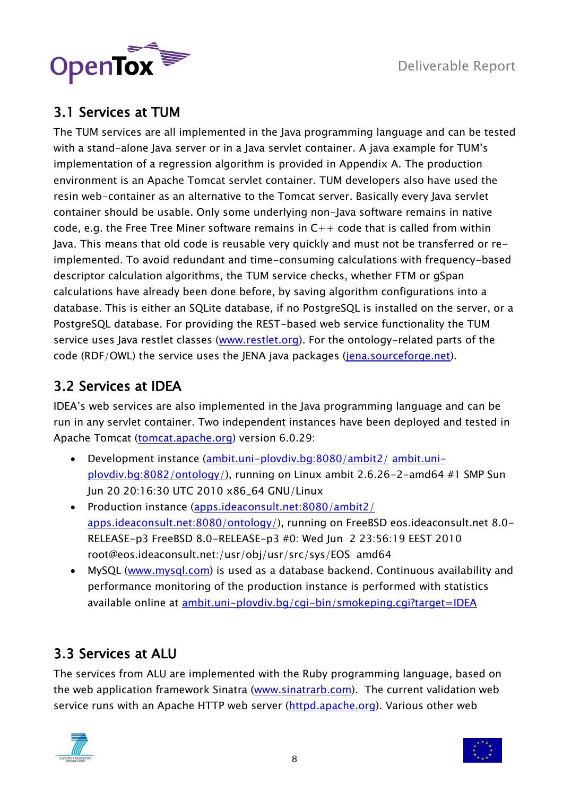

#### <span id="page-7-0"></span>3.1 Services at TUM

The TUM services are all implemented in the Java programming language and can be tested with a stand-alone Java server or in a Java servlet container. A java example for TUM"s implementation of a regression algorithm is provided in Appendix A. The production environment is an Apache Tomcat servlet container. TUM developers also have used the resin web-container as an alternative to the Tomcat server. Basically every Java servlet container should be usable. Only some underlying non-Java software remains in native code, e.g. the Free Tree Miner software remains in  $C_{++}$  code that is called from within Java. This means that old code is reusable very quickly and must not be transferred or reimplemented. To avoid redundant and time-consuming calculations with frequency-based descriptor calculation algorithms, the TUM service checks, whether FTM or gSpan calculations have already been done before, by saving algorithm configurations into a database. This is either an SQLite database, if no PostgreSQL is installed on the server, or a PostgreSQL database. For providing the REST-based web service functionality the TUM service uses Java restlet classes [\(www.restlet.org\)](http://www.restlet.org/). For the ontology-related parts of the code (RDF/OWL) the service uses the JENA java packages [\(jena.sourceforge.net\)](http://jena.sourceforge.net/).

#### <span id="page-7-1"></span>3.2 Services at IDEA

IDEA"s web services are also implemented in the Java programming language and can be run in any servlet container. Two independent instances have been deployed and tested in Apache Tomcat [\(tomcat.apache.org\)](http://tomcat.apache.org/) version 6.0.29:

- Development instance [\(ambit.uni-plovdiv.bg:8080/ambit2/](http://ambit.uni-plovdiv.bg:8080/ambit2/) [ambit.uni](http://ambit.uni-plovdiv.bg:8082/ontology/)[plovdiv.bg:8082/ontology/\)](http://ambit.uni-plovdiv.bg:8082/ontology/), running on Linux ambit 2.6.26-2-amd64 #1 SMP Sun Jun 20 20:16:30 UTC 2010 x86\_64 GNU/Linux
- Production instance [\(apps.ideaconsult.net:8080/ambit2/](http://apps.ideaconsult.net:8080/ambit2/) [apps.ideaconsult.net:8080/ontology/\)](http://apps.ideaconsult.net:8080/ontology/), running on FreeBSD eos.ideaconsult.net 8.0- RELEASE-p3 FreeBSD 8.0-RELEASE-p3 #0: Wed Jun 2 23:56:19 EEST 2010 root@eos.ideaconsult.net:/usr/obj/usr/src/sys/EOS amd64
- MySQL [\(www.mysql.com\)](http://www.mysql.com/) is used as a database backend. Continuous availability and performance monitoring of the production instance is performed with statistics available online at [ambit.uni-plovdiv.bg/cgi-bin/smokeping.cgi?target=IDEA](http://ambit.uni-plovdiv.bg/cgi-bin/smokeping.cgi?target=IDEA)

#### <span id="page-7-2"></span>3.3 Services at ALU

The services from ALU are implemented with the Ruby programming language, based on the web application framework Sinatra [\(www.sinatrarb.com\)](http://www.sinatrarb.com/). The current validation web service runs with an Apache HTTP web server [\(httpd.apache.org\)](http://httpd.apache.org/). Various other web



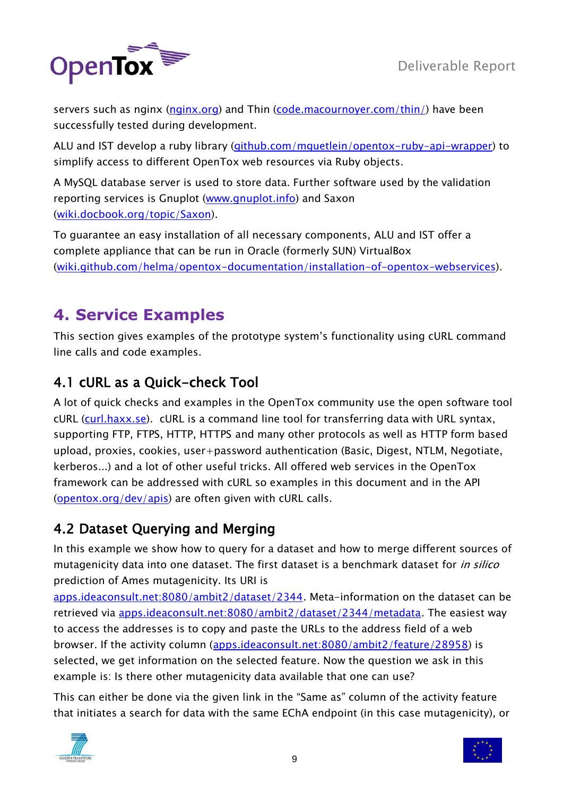

servers such as nginx [\(nginx.org\)](http://nginx.org/) and Thin [\(code.macournoyer.com/thin/\)](http://code.macournoyer.com/thin/) have been successfully tested during development.

ALU and IST develop a ruby library [\(github.com/mguetlein/opentox-ruby-api-wrapper\)](http://github.com/mguetlein/opentox-ruby-api-wrapper) to simplify access to different OpenTox web resources via Ruby objects.

A MySQL database server is used to store data. Further software used by the validation reporting services is Gnuplot [\(www.gnuplot.info\)](http://www.gnuplot.info/) and Saxon [\(wiki.docbook.org/topic/Saxon\)](http://wiki.docbook.org/topic/Saxon).

To guarantee an easy installation of all necessary components, ALU and IST offer a complete appliance that can be run in Oracle (formerly SUN) VirtualBox [\(wiki.github.com/helma/opentox-documentation/installation-of-opentox-webservices\)](http://wiki.github.com/helma/opentox-documentation/installation-of-opentox-webservices).

# <span id="page-8-0"></span>**4. Service Examples**

This section gives examples of the prototype system"s functionality using cURL command line calls and code examples.

#### <span id="page-8-1"></span>4.1 cURL as a Quick-check Tool

A lot of quick checks and examples in the OpenTox community use the open software tool cURL [\(curl.haxx.se\)](http://curl.haxx.se/). cURL is a command line tool for transferring data with URL syntax, supporting FTP, FTPS, HTTP, HTTPS and many other protocols as well as HTTP form based upload, proxies, cookies, user+password authentication (Basic, Digest, NTLM, Negotiate, kerberos...) and a lot of other useful tricks. All offered web services in the OpenTox framework can be addressed with cURL so examples in this document and in the API [\(opentox.org/dev/apis\)](http://opentox.org/dev/apis) are often given with cURL calls.

#### <span id="page-8-2"></span>4.2 Dataset Querying and Merging

In this example we show how to query for a dataset and how to merge different sources of mutagenicity data into one dataset. The first dataset is a benchmark dataset for *in silico* prediction of Ames mutagenicity. Its URI is

[apps.ideaconsult.net:8080/ambit2/dataset/2344.](http://apps.ideaconsult.net:8080/ambit2/dataset/2344) Meta-information on the dataset can be retrieved via [apps.ideaconsult.net:8080/ambit2/dataset/2344/metadata.](http://apps.ideaconsult.net:8080/ambit2/dataset/2344/metadata) The easiest way to access the addresses is to copy and paste the URLs to the address field of a web browser. If the activity column [\(apps.ideaconsult.net:8080/ambit2/feature/28958\)](http://apps.ideaconsult.net:8080/ambit2/feature/28958) is selected, we get information on the selected feature. Now the question we ask in this example is: Is there other mutagenicity data available that one can use?

This can either be done via the given link in the "Same as" column of the activity feature that initiates a search for data with the same EChA endpoint (in this case mutagenicity), or



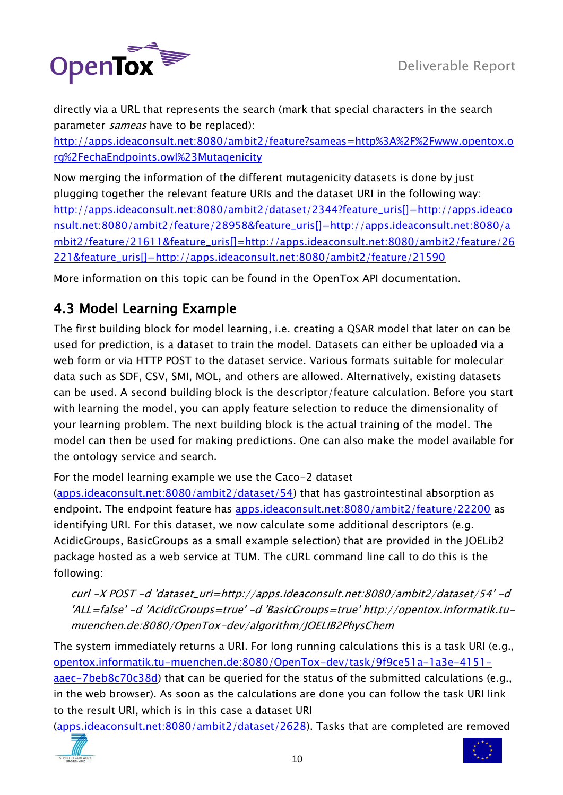

directly via a URL that represents the search (mark that special characters in the search parameter *sameas* have to be replaced):

[http://apps.ideaconsult.net:8080/ambit2/feature?sameas=http%3A%2F%2Fwww.opentox.o](http://apps.ideaconsult.net:8080/ambit2/feature?sameas=http%3A%2F%2Fwww.opentox.org%2FechaEndpoints.owl%23Mutagenicity) [rg%2FechaEndpoints.owl%23Mutagenicity](http://apps.ideaconsult.net:8080/ambit2/feature?sameas=http%3A%2F%2Fwww.opentox.org%2FechaEndpoints.owl%23Mutagenicity)

Now merging the information of the different mutagenicity datasets is done by just plugging together the relevant feature URIs and the dataset URI in the following way: [http://apps.ideaconsult.net:8080/ambit2/dataset/2344?feature\\_uris\[\]=http://apps.ideaco](http://apps.ideaconsult.net:8080/ambit2/dataset/2344?feature_uris%5b%5d=http://apps.ideaconsult.net:8080/ambit2/feature/28958&feature_uris%5b%5d=http://apps.ideaconsult.net:8080/ambit2/feature/21611&feature_uris%5b%5d=http://apps.ideaconsult.net:8080/ambit2/feature/26221&feature_uris%5b%5d=http://apps.ideaconsult.net:8080/ambit2/feature/21590) [nsult.net:8080/ambit2/feature/28958&feature\\_uris\[\]=http://apps.ideaconsult.net:8080/a](http://apps.ideaconsult.net:8080/ambit2/dataset/2344?feature_uris%5b%5d=http://apps.ideaconsult.net:8080/ambit2/feature/28958&feature_uris%5b%5d=http://apps.ideaconsult.net:8080/ambit2/feature/21611&feature_uris%5b%5d=http://apps.ideaconsult.net:8080/ambit2/feature/26221&feature_uris%5b%5d=http://apps.ideaconsult.net:8080/ambit2/feature/21590) [mbit2/feature/21611&feature\\_uris\[\]=http://apps.ideaconsult.net:8080/ambit2/feature/26](http://apps.ideaconsult.net:8080/ambit2/dataset/2344?feature_uris%5b%5d=http://apps.ideaconsult.net:8080/ambit2/feature/28958&feature_uris%5b%5d=http://apps.ideaconsult.net:8080/ambit2/feature/21611&feature_uris%5b%5d=http://apps.ideaconsult.net:8080/ambit2/feature/26221&feature_uris%5b%5d=http://apps.ideaconsult.net:8080/ambit2/feature/21590) [221&feature\\_uris\[\]=http://apps.ideaconsult.net:8080/ambit2/feature/21590](http://apps.ideaconsult.net:8080/ambit2/dataset/2344?feature_uris%5b%5d=http://apps.ideaconsult.net:8080/ambit2/feature/28958&feature_uris%5b%5d=http://apps.ideaconsult.net:8080/ambit2/feature/21611&feature_uris%5b%5d=http://apps.ideaconsult.net:8080/ambit2/feature/26221&feature_uris%5b%5d=http://apps.ideaconsult.net:8080/ambit2/feature/21590) 

More information on this topic can be found in the OpenTox API documentation.

#### <span id="page-9-0"></span>4.3 Model Learning Example

The first building block for model learning, i.e. creating a QSAR model that later on can be used for prediction, is a dataset to train the model. Datasets can either be uploaded via a web form or via HTTP POST to the dataset service. Various formats suitable for molecular data such as SDF, CSV, SMI, MOL, and others are allowed. Alternatively, existing datasets can be used. A second building block is the descriptor/feature calculation. Before you start with learning the model, you can apply feature selection to reduce the dimensionality of your learning problem. The next building block is the actual training of the model. The model can then be used for making predictions. One can also make the model available for the ontology service and search.

For the model learning example we use the Caco-2 dataset

[\(apps.ideaconsult.net:8080/ambit2/dataset/54\)](http://apps.ideaconsult.net:8080/ambit2/dataset/54) that has gastrointestinal absorption as endpoint. The endpoint feature has [apps.ideaconsult.net:8080/ambit2/feature/22200](http://apps.ideaconsult.net:8080/ambit2/feature/22200) as identifying URI. For this dataset, we now calculate some additional descriptors (e.g. AcidicGroups, BasicGroups as a small example selection) that are provided in the JOELib2 package hosted as a web service at TUM. The cURL command line call to do this is the following:

curl -X POST -d 'dataset\_uri=http://apps.ideaconsult.net:8080/ambit2/dataset/54' -d 'ALL=false' -d 'AcidicGroups=true' -d 'BasicGroups=true' http://opentox.informatik.tumuenchen.de:8080/OpenTox-dev/algorithm/JOELIB2PhysChem

The system immediately returns a URI. For long running calculations this is a task URI (e.g., [opentox.informatik.tu-muenchen.de:8080/OpenTox-dev/task/9f9ce51a-1a3e-4151](http://opentox.informatik.tu-muenchen.de:8080/OpenTox-dev/task/9f9ce51a-1a3e-4151-aaec-7beb8c70c38d) [aaec-7beb8c70c38d\)](http://opentox.informatik.tu-muenchen.de:8080/OpenTox-dev/task/9f9ce51a-1a3e-4151-aaec-7beb8c70c38d) that can be queried for the status of the submitted calculations (e.g., in the web browser). As soon as the calculations are done you can follow the task URI link to the result URI, which is in this case a dataset URI

[\(apps.ideaconsult.net:8080/ambit2/dataset/2628\)](http://apps.ideaconsult.net:8080/ambit2/dataset/2628). Tasks that are completed are removed



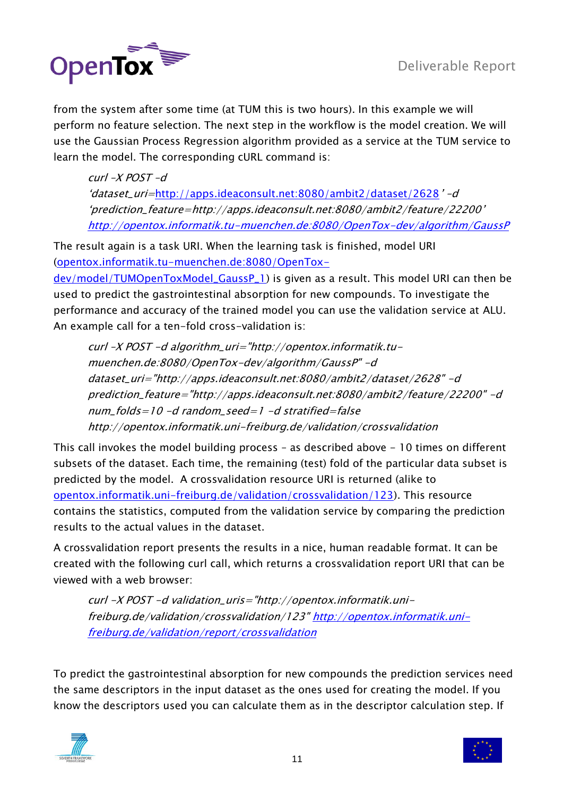

from the system after some time (at TUM this is two hours). In this example we will perform no feature selection. The next step in the workflow is the model creation. We will use the Gaussian Process Regression algorithm provided as a service at the TUM service to learn the model. The corresponding cURL command is:

 $curl -X$  POST  $-d$ "dataset\_uri=<http://apps.ideaconsult.net:8080/ambit2/dataset/2628>" –d "prediction\_feature=http://apps.ideaconsult.net:8080/ambit2/feature/22200" <http://opentox.informatik.tu-muenchen.de:8080/OpenTox-dev/algorithm/GaussP>

The result again is a task URI. When the learning task is finished, model URI [\(opentox.informatik.tu-muenchen.de:8080/OpenTox-](http://opentox.informatik.tu-muenchen.de:8080/OpenTox-dev/model/TUMOpenToxModel_GaussP_1)

[dev/model/TUMOpenToxModel\\_GaussP\\_1\)](http://opentox.informatik.tu-muenchen.de:8080/OpenTox-dev/model/TUMOpenToxModel_GaussP_1) is given as a result. This model URI can then be used to predict the gastrointestinal absorption for new compounds. To investigate the performance and accuracy of the trained model you can use the validation service at ALU. An example call for a ten-fold cross-validation is:

curl –X POST -d algorithm\_uri="http://opentox.informatik.tumuenchen.de:8080/OpenTox-dev/algorithm/GaussP" -d dataset\_uri="http://apps.ideaconsult.net:8080/ambit2/dataset/2628" -d prediction\_feature="http://apps.ideaconsult.net:8080/ambit2/feature/22200" -d  $num_folds = 10 - d$  random\_seed=1 -d stratified=false http://opentox.informatik.uni-freiburg.de/validation/crossvalidation

This call invokes the model building process – as described above - 10 times on different subsets of the dataset. Each time, the remaining (test) fold of the particular data subset is predicted by the model. A crossvalidation resource URI is returned (alike to [opentox.informatik.uni-freiburg.de/validation/crossvalidation/123\)](http://opentox.informatik.uni-freiburg.de/validation/crossvalidation/123). This resource contains the statistics, computed from the validation service by comparing the prediction results to the actual values in the dataset.

A crossvalidation report presents the results in a nice, human readable format. It can be created with the following curl call, which returns a crossvalidation report URI that can be viewed with a web browser:

curl -X POST -d validation\_uris="http://opentox.informatik.uni-freiburg.de/validation/crossvalidation/123[" http://opentox.informatik.uni](http://opentox.informatik.uni-freiburg.de/validation/report/crossvalidation)[freiburg.de/validation/report/crossvalidation](http://opentox.informatik.uni-freiburg.de/validation/report/crossvalidation)

To predict the gastrointestinal absorption for new compounds the prediction services need the same descriptors in the input dataset as the ones used for creating the model. If you know the descriptors used you can calculate them as in the descriptor calculation step. If



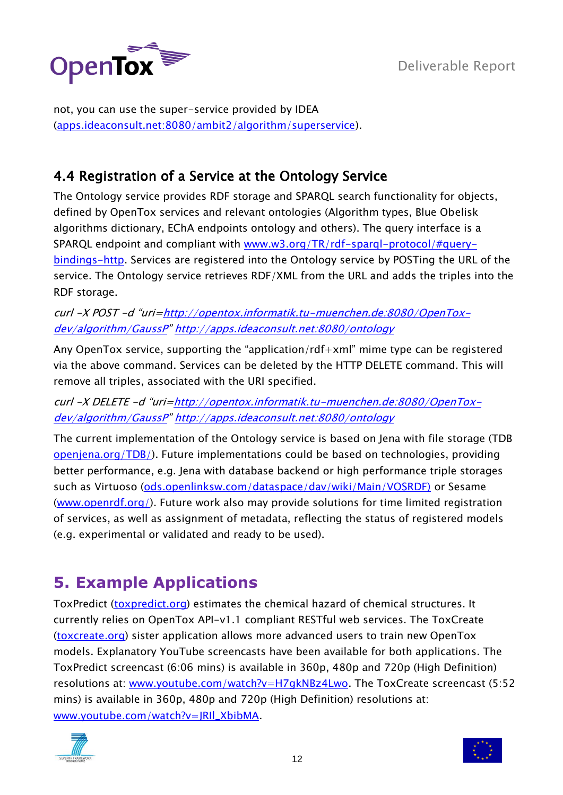

not, you can use the super-service provided by IDEA [\(apps.ideaconsult.net:8080/ambit2/algorithm/superservice\)](http://apps.ideaconsult.net:8080/ambit2/algorithm/superservice).

#### <span id="page-11-0"></span>4.4 Registration of a Service at the Ontology Service

The Ontology service provides RDF storage and SPARQL search functionality for objects, defined by OpenTox services and relevant ontologies (Algorithm types, Blue Obelisk algorithms dictionary, EChA endpoints ontology and others). The query interface is a SPARQL endpoint and compliant with [www.w3.org/TR/rdf-sparql-protocol/#query](http://www.w3.org/TR/rdf-sparql-protocol/#query-bindings-http)[bindings-http.](http://www.w3.org/TR/rdf-sparql-protocol/#query-bindings-http) Services are registered into the Ontology service by POSTing the URL of the service. The Ontology service retrieves RDF/XML from the URL and adds the triples into the RDF storage.

curl -X POST -d "uri=[http://opentox.informatik.tu-muenchen.de:8080/OpenTox](http://opentox.informatik.tu-muenchen.de:8080/OpenTox-dev/algorithm/GaussP)[dev/algorithm/GaussP](http://opentox.informatik.tu-muenchen.de:8080/OpenTox-dev/algorithm/GaussP)" <http://apps.ideaconsult.net:8080/ontology>

Any OpenTox service, supporting the "application/rdf+xml" mime type can be registered via the above command. Services can be deleted by the HTTP DELETE command. This will remove all triples, associated with the URI specified.

curl -X DELETE -d "uri=[http://opentox.informatik.tu-muenchen.de:8080/OpenTox](http://opentox.informatik.tu-muenchen.de:8080/OpenTox-dev/algorithm/GaussP)[dev/algorithm/GaussP](http://opentox.informatik.tu-muenchen.de:8080/OpenTox-dev/algorithm/GaussP)" <http://apps.ideaconsult.net:8080/ontology>

The current implementation of the Ontology service is based on Jena with file storage (TDB [openjena.org/TDB/\)](http://openjena.org/TDB/). Future implementations could be based on technologies, providing better performance, e.g. Jena with database backend or high performance triple storages such as Virtuoso [\(ods.openlinksw.com/dataspace/dav/wiki/Main/VOSRDF\)](http://ods.openlinksw.com/dataspace/dav/wiki/Main/VOSRDF) or Sesame [\(www.openrdf.org/\)](http://www.openrdf.org/). Future work also may provide solutions for time limited registration of services, as well as assignment of metadata, reflecting the status of registered models (e.g. experimental or validated and ready to be used).

## <span id="page-11-1"></span>**5. Example Applications**

ToxPredict [\(toxpredict.org\)](http://toxpredict.org/) estimates the chemical hazard of chemical structures. It currently relies on OpenTox API-v1.1 compliant RESTful web services. The ToxCreate [\(toxcreate.org\)](http://toxcreate.org/) sister application allows more advanced users to train new OpenTox models. Explanatory YouTube screencasts have been available for both applications. The ToxPredict screencast (6:06 mins) is available in 360p, 480p and 720p (High Definition) resolutions at: [www.youtube.com/watch?v=H7gkNBz4Lwo.](http://www.youtube.com/watch?v=H7gkNBz4Lwo) The ToxCreate screencast (5:52 mins) is available in 360p, 480p and 720p (High Definition) resolutions at: [www.youtube.com/watch?v=JRIl\\_XbibMA.](http://www.youtube.com/watch?v=JRIl_XbibMA)



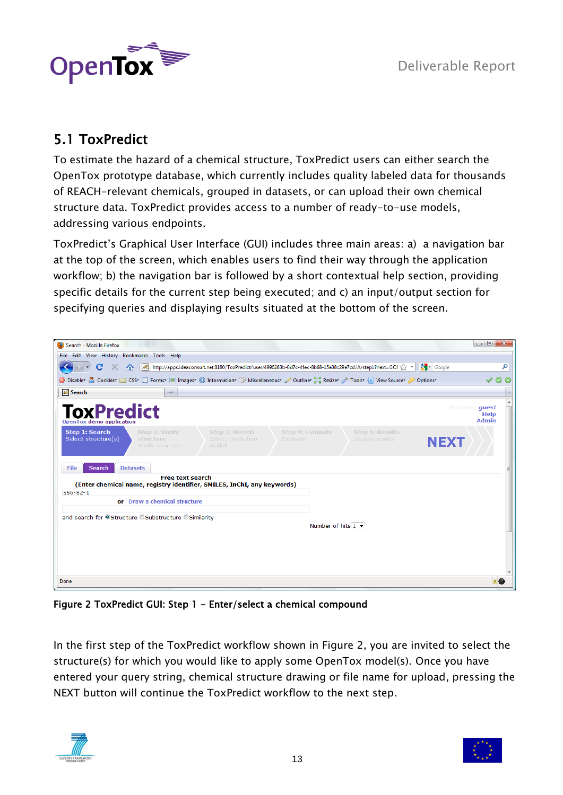

## <span id="page-12-0"></span>5.1 ToxPredict

To estimate the hazard of a chemical structure, ToxPredict users can either search the OpenTox prototype database, which currently includes quality labeled data for thousands of REACH-relevant chemicals, grouped in datasets, or can upload their own chemical structure data. ToxPredict provides access to a number of ready-to-use models, addressing various endpoints.

ToxPredict"s Graphical User Interface (GUI) includes three main areas: a) a navigation bar at the top of the screen, which enables users to find their way through the application workflow; b) the navigation bar is followed by a short contextual help section, providing specific details for the current step being executed; and c) an input/output section for specifying queries and displaying results situated at the bottom of the screen.

| Search - Mozilla Firefox                                                                                                                                                                                                              | o O<br>$\overline{\mathbf{x}}$         |
|---------------------------------------------------------------------------------------------------------------------------------------------------------------------------------------------------------------------------------------|----------------------------------------|
| File Edit View History Bookmarks Tools Help                                                                                                                                                                                           |                                        |
| $\frac{1}{2}$ Google<br>AM http://apps.ideaconsult.net:8180/ToxPredict/user/4996263b-0d7c-4fec-8b68-15e38c29e7cd/A/step1?next=GO! 2<br>C<br>合                                                                                         | م                                      |
| ● Disabler & Cookies ■ CSS ■ Forms ■ Images ● Information ● Miscellaneous ● Outline : ● Resizer ♪ Tools ● View Sourcer ♪ Options                                                                                                      | $\odot$                                |
| Search<br>$\mathcal{A}_{\mathcal{P}}$                                                                                                                                                                                                 |                                        |
| <b>ToxPredict</b><br><b>OpenTox demo application</b>                                                                                                                                                                                  | Welcome, quest<br>Help<br><b>Admin</b> |
| Step 1: Search<br>Step 2: Verify<br>Step 3: Models<br><b>Step 5: Results</b><br><b>Step 4: Estimate</b><br>Select structure(s)<br>structure<br>Select prediction<br>Display results<br>Estimate<br>NEXT<br>Verify structure<br>models |                                        |
| <b>Datasets</b><br>File<br><b>Search</b>                                                                                                                                                                                              |                                        |
| <b>Free text search</b><br>(Enter chemical name, registry identifier, SMILES, InChI, any keywords)                                                                                                                                    |                                        |
| $556 - 82 - 1$                                                                                                                                                                                                                        |                                        |
| or Draw a chemical structure                                                                                                                                                                                                          |                                        |
| and search for OStructure OSubstructure OSimilarity                                                                                                                                                                                   |                                        |
| Number of hits $1 -$                                                                                                                                                                                                                  |                                        |
|                                                                                                                                                                                                                                       |                                        |
|                                                                                                                                                                                                                                       |                                        |
|                                                                                                                                                                                                                                       |                                        |
|                                                                                                                                                                                                                                       |                                        |
| Done                                                                                                                                                                                                                                  |                                        |

Figure 2 ToxPredict GUI: Step 1 - Enter/select a chemical compound

In the first step of the ToxPredict workflow shown in Figure 2, you are invited to select the structure(s) for which you would like to apply some OpenTox model(s). Once you have entered your query string, chemical structure drawing or file name for upload, pressing the NEXT button will continue the ToxPredict workflow to the next step.



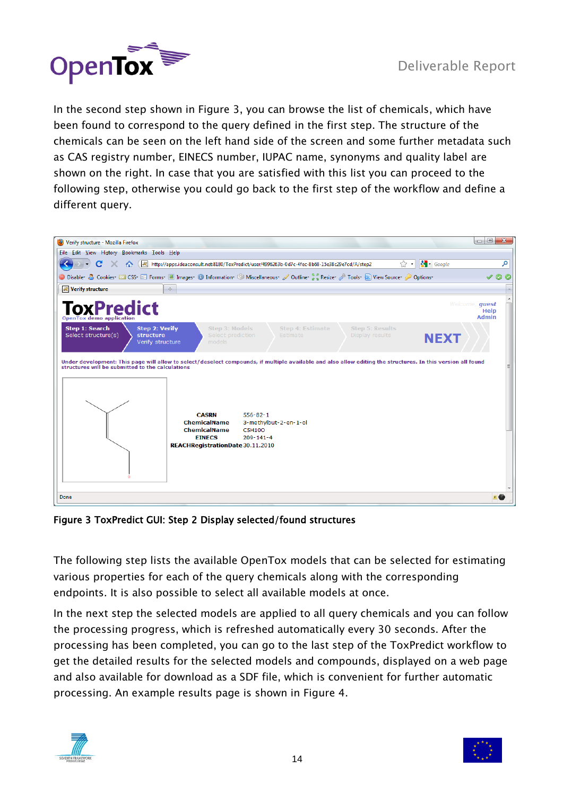

In the second step shown in Figure 3, you can browse the list of chemicals, which have been found to correspond to the query defined in the first step. The structure of the chemicals can be seen on the left hand side of the screen and some further metadata such as CAS registry number, EINECS number, IUPAC name, synonyms and quality label are shown on the right. In case that you are satisfied with this list you can proceed to the following step, otherwise you could go back to the first step of the workflow and define a different query.



Figure 3 ToxPredict GUI: Step 2 Display selected/found structures

The following step lists the available OpenTox models that can be selected for estimating various properties for each of the query chemicals along with the corresponding endpoints. It is also possible to select all available models at once.

In the next step the selected models are applied to all query chemicals and you can follow the processing progress, which is refreshed automatically every 30 seconds. After the processing has been completed, you can go to the last step of the ToxPredict workflow to get the detailed results for the selected models and compounds, displayed on a web page and also available for download as a SDF file, which is convenient for further automatic processing. An example results page is shown in Figure 4.



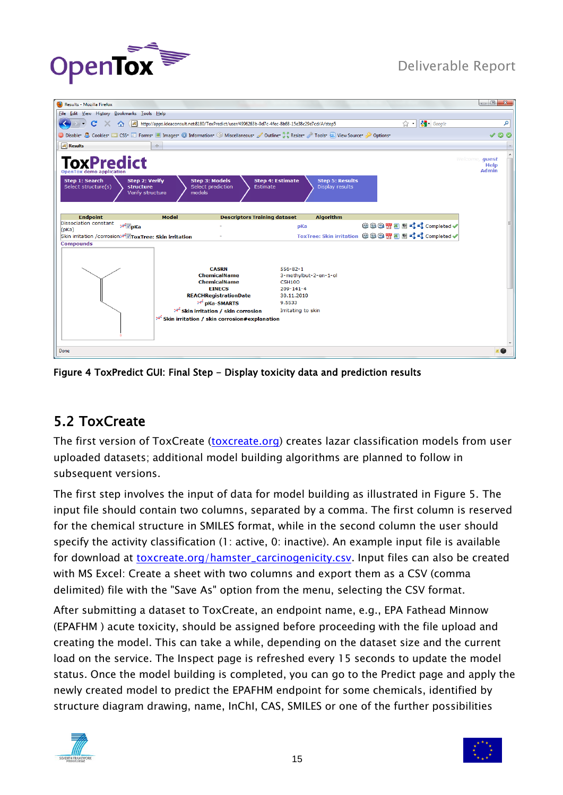



| File Edit View History Bookmarks Tools Help<br>$\frac{1}{2}$ Google<br>م<br>$\mathbf{C}$<br>http://apps.ideaconsult.net:8180/ToxPredict/user/4996263b-0d7c-4fec-8b68-15e38c29e7cd/A/step5<br>×<br>$\sum$ +<br>O Disabler & Cookies and CSS E Forms I Images (O Information (O Miscellaneous / Outline the Resizer / Tools and View Sourcer / Options<br><b>Results</b><br>÷<br><b>ToxPredict</b><br>Welcome, quest<br>Help<br><b>Admin</b><br><b>OpenTox demo application</b><br><b>Step 1: Search</b><br><b>Step 2: Verify</b><br><b>Step 3: Models</b><br><b>Step 4: Estimate</b><br><b>Step 5: Results</b><br>Select structure(s)<br>structure<br>Select prediction<br>Display results<br>Estimate<br>Verify structure<br>models<br><b>Algorithm</b><br><b>Endpoint</b><br><b>Model</b><br><b>Descriptors Training dataset</b><br><b>Dissociation constant</b><br>●●●習習でくてcompleted✔<br>≫ pKa<br>pKa<br>(pKa)<br>Skin irritation / corrosion > ToxTree: Skin irritation<br><b>Compounds</b><br><b>CASRN</b><br>$556 - 82 - 1$<br><b>ChemicalName</b><br>3-methylbut-2-en-1-ol<br><b>ChemicalName</b><br><b>C5H10O</b><br><b>EINECS</b><br>$209 - 141 - 4$<br><b>REACHRegistrationDate</b><br>30.11.2010<br><b>X DKa-SMARTS</b><br>9.5533<br><sup>≫</sup> Skin irritation / skin corrosion<br>Irritating to skin<br><del>≫</del> Skin irritation / skin corrosion#explanation<br>Done |                               |                 |
|-----------------------------------------------------------------------------------------------------------------------------------------------------------------------------------------------------------------------------------------------------------------------------------------------------------------------------------------------------------------------------------------------------------------------------------------------------------------------------------------------------------------------------------------------------------------------------------------------------------------------------------------------------------------------------------------------------------------------------------------------------------------------------------------------------------------------------------------------------------------------------------------------------------------------------------------------------------------------------------------------------------------------------------------------------------------------------------------------------------------------------------------------------------------------------------------------------------------------------------------------------------------------------------------------------------------------------------------------------------------------------------------|-------------------------------|-----------------|
|                                                                                                                                                                                                                                                                                                                                                                                                                                                                                                                                                                                                                                                                                                                                                                                                                                                                                                                                                                                                                                                                                                                                                                                                                                                                                                                                                                                         | (2) Results - Mozilla Firefox |                 |
|                                                                                                                                                                                                                                                                                                                                                                                                                                                                                                                                                                                                                                                                                                                                                                                                                                                                                                                                                                                                                                                                                                                                                                                                                                                                                                                                                                                         |                               |                 |
|                                                                                                                                                                                                                                                                                                                                                                                                                                                                                                                                                                                                                                                                                                                                                                                                                                                                                                                                                                                                                                                                                                                                                                                                                                                                                                                                                                                         |                               |                 |
|                                                                                                                                                                                                                                                                                                                                                                                                                                                                                                                                                                                                                                                                                                                                                                                                                                                                                                                                                                                                                                                                                                                                                                                                                                                                                                                                                                                         |                               | $\checkmark$ 00 |
|                                                                                                                                                                                                                                                                                                                                                                                                                                                                                                                                                                                                                                                                                                                                                                                                                                                                                                                                                                                                                                                                                                                                                                                                                                                                                                                                                                                         |                               |                 |
|                                                                                                                                                                                                                                                                                                                                                                                                                                                                                                                                                                                                                                                                                                                                                                                                                                                                                                                                                                                                                                                                                                                                                                                                                                                                                                                                                                                         |                               |                 |
|                                                                                                                                                                                                                                                                                                                                                                                                                                                                                                                                                                                                                                                                                                                                                                                                                                                                                                                                                                                                                                                                                                                                                                                                                                                                                                                                                                                         |                               |                 |
|                                                                                                                                                                                                                                                                                                                                                                                                                                                                                                                                                                                                                                                                                                                                                                                                                                                                                                                                                                                                                                                                                                                                                                                                                                                                                                                                                                                         |                               |                 |
|                                                                                                                                                                                                                                                                                                                                                                                                                                                                                                                                                                                                                                                                                                                                                                                                                                                                                                                                                                                                                                                                                                                                                                                                                                                                                                                                                                                         |                               |                 |
|                                                                                                                                                                                                                                                                                                                                                                                                                                                                                                                                                                                                                                                                                                                                                                                                                                                                                                                                                                                                                                                                                                                                                                                                                                                                                                                                                                                         |                               |                 |
|                                                                                                                                                                                                                                                                                                                                                                                                                                                                                                                                                                                                                                                                                                                                                                                                                                                                                                                                                                                                                                                                                                                                                                                                                                                                                                                                                                                         |                               |                 |
|                                                                                                                                                                                                                                                                                                                                                                                                                                                                                                                                                                                                                                                                                                                                                                                                                                                                                                                                                                                                                                                                                                                                                                                                                                                                                                                                                                                         |                               |                 |

Figure 4 ToxPredict GUI: Final Step - Display toxicity data and prediction results

#### <span id="page-14-0"></span>5.2 ToxCreate

The first version of ToxCreate [\(toxcreate.org\)](http://toxcreate.org/) creates lazar classification models from user uploaded datasets; additional model building algorithms are planned to follow in subsequent versions.

The first step involves the input of data for model building as illustrated in Figure 5. The input file should contain two columns, separated by a comma. The first column is reserved for the chemical structure in SMILES format, while in the second column the user should specify the activity classification (1: active, 0: inactive). An example input file is available for download at [toxcreate.org/hamster\\_carcinogenicity.csv.](http://toxcreate.org/hamster_carcinogenicity.csv) Input files can also be created with MS Excel: Create a sheet with two columns and export them as a CSV (comma delimited) file with the "Save As" option from the menu, selecting the CSV format.

After submitting a dataset to ToxCreate, an endpoint name, e.g., EPA Fathead Minnow (EPAFHM ) acute toxicity, should be assigned before proceeding with the file upload and creating the model. This can take a while, depending on the dataset size and the current load on the service. The Inspect page is refreshed every 15 seconds to update the model status. Once the model building is completed, you can go to the Predict page and apply the newly created model to predict the EPAFHM endpoint for some chemicals, identified by structure diagram drawing, name, InChI, CAS, SMILES or one of the further possibilities



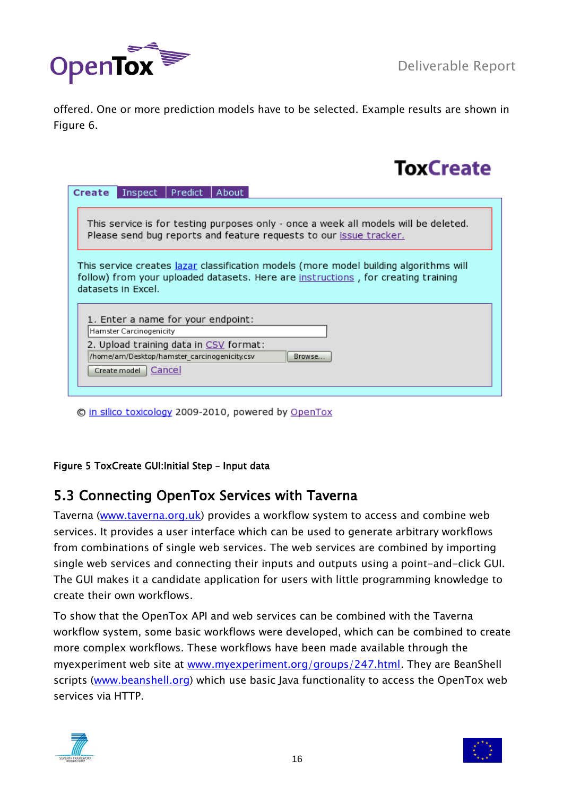

offered. One or more prediction models have to be selected. Example results are shown in Figure 6.

# **ToxCreate**

| Predict   About<br>Inspect<br>Create                                                                                                                                                             |  |  |
|--------------------------------------------------------------------------------------------------------------------------------------------------------------------------------------------------|--|--|
|                                                                                                                                                                                                  |  |  |
| This service is for testing purposes only - once a week all models will be deleted.<br>Please send bug reports and feature requests to our issue tracker.                                        |  |  |
| This service creates lazar classification models (more model building algorithms will<br>follow) from your uploaded datasets. Here are instructions, for creating training<br>datasets in Excel. |  |  |
| 1. Enter a name for your endpoint:<br>Hamster Carcinogenicity                                                                                                                                    |  |  |
| 2. Upload training data in CSV format:<br>/home/am/Desktop/hamster_carcinogenicity.csv<br>Browse<br>  Cancel<br>Create model                                                                     |  |  |
|                                                                                                                                                                                                  |  |  |

© in silico toxicology 2009-2010, powered by OpenTox

#### Figure 5 ToxCreate GUI:Initial Step – Input data

#### <span id="page-15-0"></span>5.3 Connecting OpenTox Services with Taverna

Taverna [\(www.taverna.org.uk\)](http://www.taverna.org.uk/) provides a workflow system to access and combine web services. It provides a user interface which can be used to generate arbitrary workflows from combinations of single web services. The web services are combined by importing single web services and connecting their inputs and outputs using a point-and-click GUI. The GUI makes it a candidate application for users with little programming knowledge to create their own workflows.

To show that the OpenTox API and web services can be combined with the Taverna workflow system, some basic workflows were developed, which can be combined to create more complex workflows. These workflows have been made available through the myexperiment web site at [www.myexperiment.org/groups/247.html.](http://www.myexperiment.org/groups/247.html) They are BeanShell scripts [\(www.beanshell.org\)](http://www.beanshell.org/) which use basic Java functionality to access the OpenTox web services via HTTP.



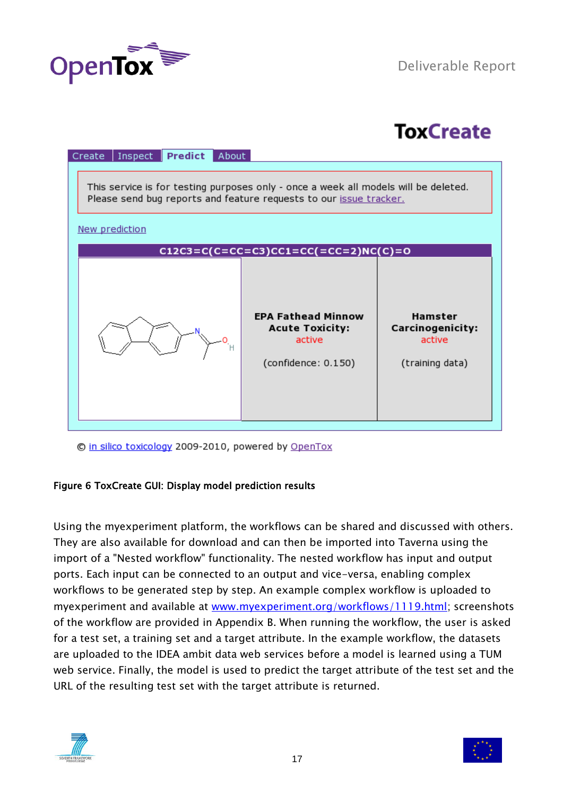

# **ToxCreate**

| Predict<br>Inspect<br>About<br>Create                                                                                                                     |                                                                                      |                                                                 |  |
|-----------------------------------------------------------------------------------------------------------------------------------------------------------|--------------------------------------------------------------------------------------|-----------------------------------------------------------------|--|
| This service is for testing purposes only - once a week all models will be deleted.<br>Please send bug reports and feature requests to our issue tracker. |                                                                                      |                                                                 |  |
| New prediction                                                                                                                                            |                                                                                      |                                                                 |  |
|                                                                                                                                                           | $C12C3 = C(C = CC = C3)CC1 = CC(= CC = 2)NC(C) = 0$                                  |                                                                 |  |
|                                                                                                                                                           | <b>EPA Fathead Minnow</b><br><b>Acute Toxicity:</b><br>active<br>(confidence: 0.150) | Hamster<br><b>Carcinogenicity:</b><br>active<br>(training data) |  |

© in silico toxicology 2009-2010, powered by OpenTox

#### Figure 6 ToxCreate GUI: Display model prediction results

Using the myexperiment platform, the workflows can be shared and discussed with others. They are also available for download and can then be imported into Taverna using the import of a "Nested workflow" functionality. The nested workflow has input and output ports. Each input can be connected to an output and vice-versa, enabling complex workflows to be generated step by step. An example complex workflow is uploaded to myexperiment and available at [www.myexperiment.org/workflows/1119.html;](http://www.myexperiment.org/workflows/1119.html) screenshots of the workflow are provided in Appendix B. When running the workflow, the user is asked for a test set, a training set and a target attribute. In the example workflow, the datasets are uploaded to the IDEA ambit data web services before a model is learned using a TUM web service. Finally, the model is used to predict the target attribute of the test set and the URL of the resulting test set with the target attribute is returned.



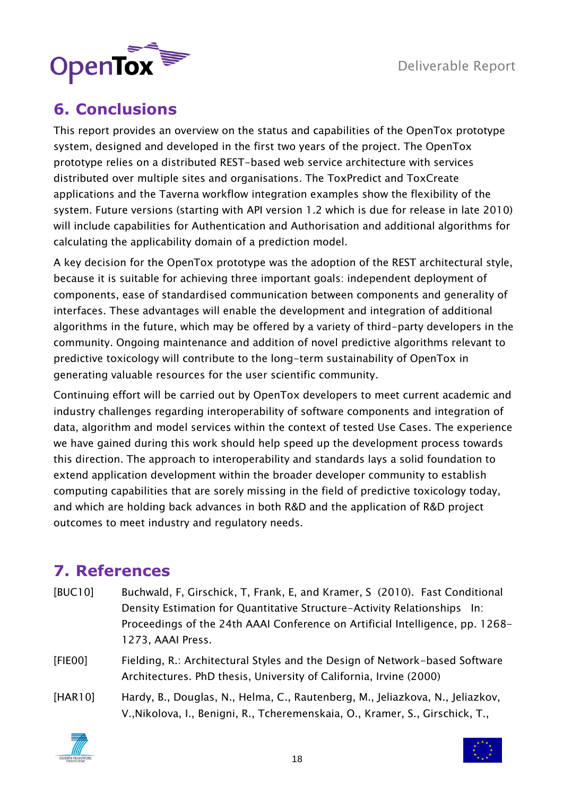

## <span id="page-17-0"></span>**6. Conclusions**

This report provides an overview on the status and capabilities of the OpenTox prototype system, designed and developed in the first two years of the project. The OpenTox prototype relies on a distributed REST-based web service architecture with services distributed over multiple sites and organisations. The ToxPredict and ToxCreate applications and the Taverna workflow integration examples show the flexibility of the system. Future versions (starting with API version 1.2 which is due for release in late 2010) will include capabilities for Authentication and Authorisation and additional algorithms for calculating the applicability domain of a prediction model.

A key decision for the OpenTox prototype was the adoption of the REST architectural style, because it is suitable for achieving three important goals: independent deployment of components, ease of standardised communication between components and generality of interfaces. These advantages will enable the development and integration of additional algorithms in the future, which may be offered by a variety of third-party developers in the community. Ongoing maintenance and addition of novel predictive algorithms relevant to predictive toxicology will contribute to the long-term sustainability of OpenTox in generating valuable resources for the user scientific community.

Continuing effort will be carried out by OpenTox developers to meet current academic and industry challenges regarding interoperability of software components and integration of data, algorithm and model services within the context of tested Use Cases. The experience we have gained during this work should help speed up the development process towards this direction. The approach to interoperability and standards lays a solid foundation to extend application development within the broader developer community to establish computing capabilities that are sorely missing in the field of predictive toxicology today, and which are holding back advances in both R&D and the application of R&D project outcomes to meet industry and regulatory needs.

## <span id="page-17-1"></span>**7. References**

- [BUC10] Buchwald, F, Girschick, T, Frank, E, and Kramer, S (2010). Fast Conditional Density Estimation for Quantitative Structure-Activity Relationships In: Proceedings of the 24th AAAI Conference on Artificial Intelligence, pp. 1268- 1273, AAAI Press.
- [FIE00] Fielding, R.: Architectural Styles and the Design of Network-based Software Architectures. PhD thesis, University of California, Irvine (2000)
- [HAR10] Hardy, B., Douglas, N., Helma, C., Rautenberg, M., Jeliazkova, N., Jeliazkov, V.,Nikolova, I., Benigni, R., Tcheremenskaia, O., Kramer, S., Girschick, T.,



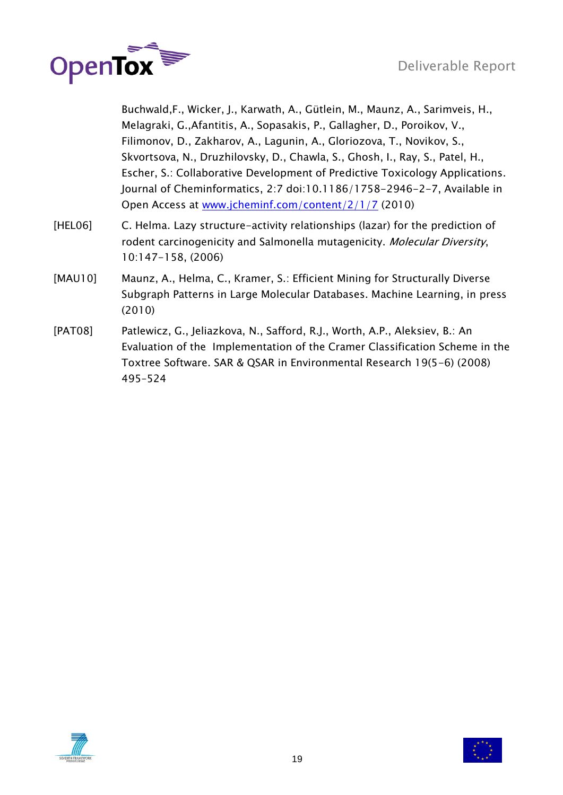

Buchwald,F., Wicker, J., Karwath, A., Gütlein, M., Maunz, A., Sarimveis, H., Melagraki, G.,Afantitis, A., Sopasakis, P., Gallagher, D., Poroikov, V., Filimonov, D., Zakharov, A., Lagunin, A., Gloriozova, T., Novikov, S., Skvortsova, N., Druzhilovsky, D., Chawla, S., Ghosh, I., Ray, S., Patel, H., Escher, S.: Collaborative Development of Predictive Toxicology Applications. Journal of Cheminformatics, 2:7 doi:10.1186/1758-2946-2-7, Available in Open Access at [www.jcheminf.com/content/2/1/7](http://www.jcheminf.com/content/2/1/7) (2010)

- [HEL06] C. Helma. Lazy structure-activity relationships (lazar) for the prediction of rodent carcinogenicity and Salmonella mutagenicity. Molecular Diversity, 10:147-158, (2006)
- [MAU10] Maunz, A., Helma, C., Kramer, S.: Efficient Mining for Structurally Diverse Subgraph Patterns in Large Molecular Databases. Machine Learning, in press (2010)
- [PAT08] Patlewicz, G., Jeliazkova, N., Safford, R.J., Worth, A.P., Aleksiev, B.: An Evaluation of the Implementation of the Cramer Classification Scheme in the Toxtree Software. SAR & QSAR in Environmental Research 19(5-6) (2008) 495–524



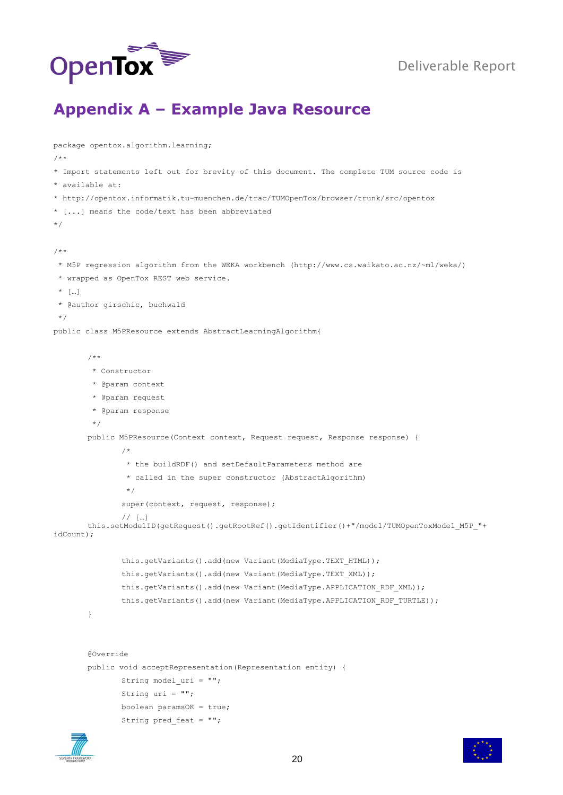

#### <span id="page-19-0"></span>**Appendix A – Example Java Resource**

```
package opentox.algorithm.learning;
/ * ** Import statements left out for brevity of this document. The complete TUM source code is 
* available at: 
* http://opentox.informatik.tu-muenchen.de/trac/TUMOpenTox/browser/trunk/src/opentox
* [...] means the code/text has been abbreviated
*/
/**
 * M5P regression algorithm from the WEKA workbench (http://www.cs.waikato.ac.nz/~ml/weka/) 
 * wrapped as OpenTox REST web service.
 * […]
 * @author girschic, buchwald
 */
public class M5PResource extends AbstractLearningAlgorithm{
       /**
        * Constructor
        * @param context
        * @param request
        * @param response
        */
       public M5PResource(Context context, Request request, Response response) {
               /*
                * the buildRDF() and setDefaultParameters method are 
                * called in the super constructor (AbstractAlgorithm)
                */
               super(context, request, response);
               // […]
       this.setModelID(getRequest().getRootRef().getIdentifier()+"/model/TUMOpenToxModel M5P "+
idCount);
               this.getVariants().add(new Variant(MediaType.TEXT_HTML));
               this.getVariants().add(new Variant(MediaType.TEXT_XML));
               this.getVariants().add(new Variant(MediaType.APPLICATION RDF XML));
               this.getVariants().add(new Variant(MediaType.APPLICATION_RDF_TURTLE));
        }
       @Override
       public void acceptRepresentation(Representation entity) {
               String model uri = "";
                String uri = "";
                boolean paramsOK = true;
               String pred feat = " ";
```


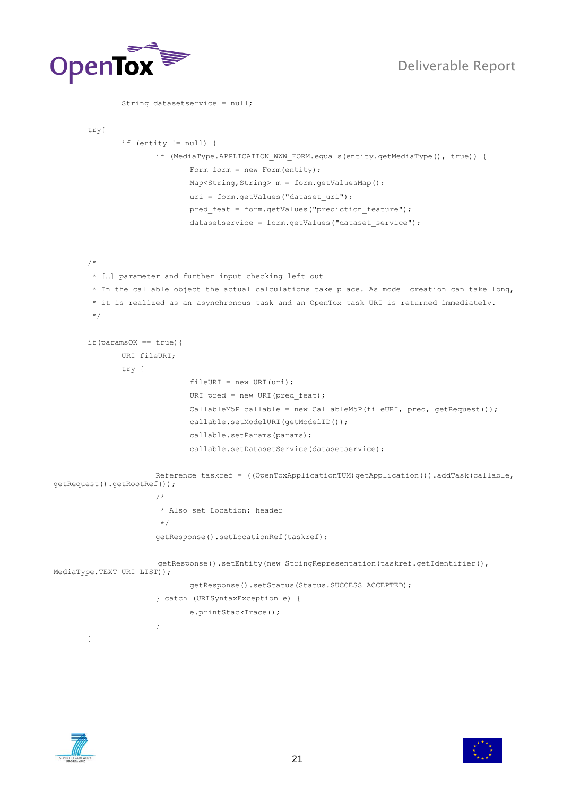

String datasetservice = null;

```
 try{
                if (entity != null) {
                      if (MediaType.APPLICATION WWW FORM.equals(entity.getMediaType(), true)) {
                              Form form = new Form(entity);
                              Map<String, String> m = form.getValuesMap();
                              uri = form.getValues("dataset uri");
                              pred feat = form.getValues("prediction feature");
                              datasetservice = form.getValues("dataset service");
        /*
         * […] parameter and further input checking left out
        * In the callable object the actual calculations take place. As model creation can take long, 
        * it is realized as an asynchronous task and an OpenTox task URI is returned immediately. 
         */
       if(paramsOK == true){
                URI fileURI;
               try {
                              fileURI = new URI(uri);URI pred = new URI(pred feat);
                              CallableM5P callable = new CallableM5P(fileURI, pred, getRequest()); 
                               callable.setModelURI(getModelID());
                               callable.setParams(params);
                               callable.setDatasetService(datasetservice);
                       Reference taskref = ((OpenToxApplicationTUM)getApplication()).addTask(callable, 
getRequest().getRootRef()); 
         /*
                         * Also set Location: header
                        */
                        getResponse().setLocationRef(taskref);
                        getResponse().setEntity(new StringRepresentation(taskref.getIdentifier(), 
MediaType.TEXT URI LIST));
                               getResponse().setStatus(Status.SUCCESS_ACCEPTED);
                       } catch (URISyntaxException e) {
                              e.printStackTrace();
                       }
        }
```


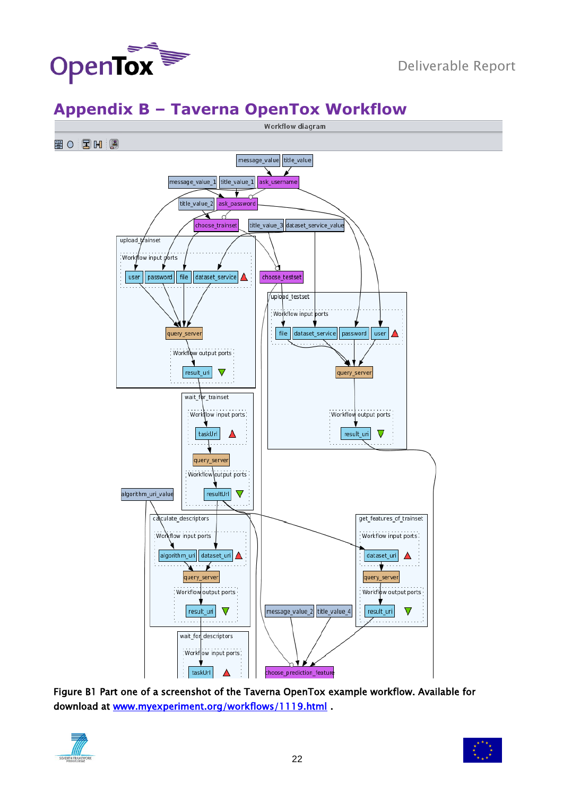

## <span id="page-21-0"></span>**Appendix B – Taverna OpenTox Workflow**



Figure B1 Part one of a screenshot of the Taverna OpenTox example workflow. Available for download at [www.myexperiment.org/workflows/1119.html](http://www.myexperiment.org/workflows/1119.html) .